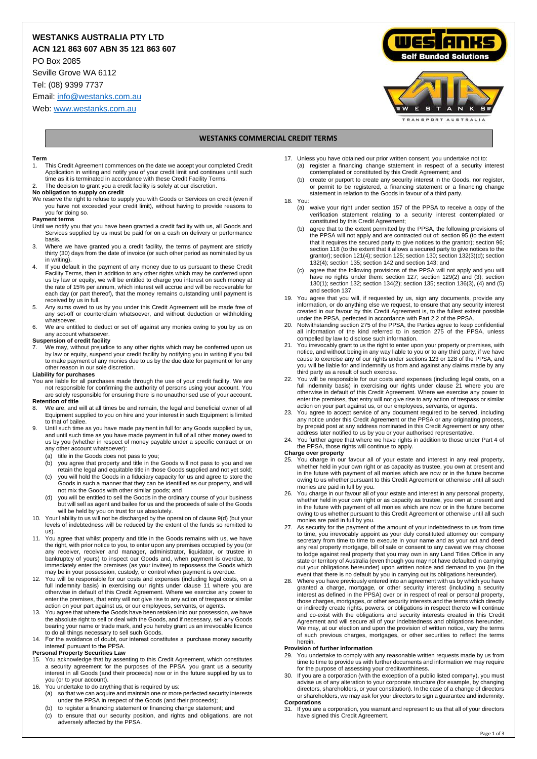## **WESTANKS AUSTRALIA PTY LTD**

**ACN 121 863 607 ABN 35 121 863 607**

PO Box 2085

Seville Grove WA 6112

Tel: (08) 9399 7737

Email[: info@westanks.com.au](mailto:info@westanks.com.au)

Web[: www.westanks.com.au](http://www.westanks.com.au/)





#### **WESTANKS COMMERCIAL CREDIT TERMS**

#### **Term**

- 1. This Credit Agreement commences on the date we accept your completed Credit Application in writing and notify you of your credit limit and continues until such time as it is terminated in accordance with these Credit Facility Terms.
- The decision to grant you a credit facility is solely at our discretion.

## **No obligation to supply on credit**

We reserve the right to refuse to supply you with Goods or Services on credit (even if you have not exceeded your credit limit), without having to provide reasons to you for doing so.

#### **Payment terms**

- Until we notify you that you have been granted a credit facility with us, all Goods and Services supplied by us must be paid for on a cash on delivery or performance basis.
- 3. Where we have granted you a credit facility, the terms of payment are strictly thirty (30) days from the date of invoice (or such other period as nominated by us in writing).
- <span id="page-0-5"></span>4. If you default in the payment of any money due to us pursuant to these Credit Facility Terms, then in addition to any other rights which may be conferred upon us by law or equity, we will be entitled to charge you interest on such money at the rate of 15% per annum, which interest will accrue and will be recoverable for each day (or part thereof), that the money remains outstanding until payment is received by us in full.
- 5. Any sums owed to us by you under this Credit Agreement will be made free of any set-off or counterclaim whatsoever, and without deduction or withholding whatsoever.
- 6. We are entitled to deduct or set off against any monies owing to you by us on any account whats

**Suspension of credit facility** 7. We may, without prejudice to any other rights which may be conferred upon us by law or equity, suspend your credit facility by notifying you in writing if you fail to make payment of any monies due to us by the due date for payment or for any other reason in our sole discretion.

#### **Liability for purchases**

You are liable for all purchases made through the use of your credit facility. We are not responsible for confirming the authority of persons using your account. You are solely responsible for ensuring there is no unauthorised use of your account.

## **Retention of title**

- 8. We are, and will at all times be and remain, the legal and beneficial owner of all Equipment supplied to you on hire and your interest in such Equipment is limited to that of bailee.
- 9. Until such time as you have made payment in full for any Goods supplied by us, and until such time as you have made payment in full of all other money owed to us by you (whether in respect of money payable under a specific contract or on any other account whatsoever):
	-
	- (a) title in the Goods does not pass to you; (b) you agree that property and title in the Goods will not pass to you and we retain the legal and equitable title in those Goods supplied and not yet sold;
	- (c) you will hold the Goods in a fiduciary capacity for us and agree to store the Goods in such a manner that they can be identified as our property, and will not mix the Goods with other similar goods; and
	- (d) you will be entitled to sell the Goods in the ordinary course of your business but will sell as agent and bailee for us and the proceeds of sale of the Goods will be held by you on trust for us absolutely.
- <span id="page-0-0"></span>10. Your liability to us will not be discharged by the operation of claus[e 9\(d\)](#page-0-0) (but your levels of indebtedness will be reduced by the extent of the funds so remitted to  $\left(211\right)$
- <span id="page-0-1"></span>11. You agree that whilst property and title in the Goods remains with us, we have the right, with prior notice to you, to enter upon any premises occupied by you (or<br>any receiver, receiver and manager, administrator, liquidator, or trustee in<br>bankruptcy of yours) to inspect our Goods and, when payment i immediately enter the premises (as your invitee) to repossess the Goods which may be in your possession, custody, or control when payment is overdue.
- <span id="page-0-3"></span>12. You will be responsible for our costs and expenses (including legal costs, on a full indemnity basis) in exercising our rights under clause [11](#page-0-1) where you are otherwise in default of this Credit Agreement. Where we exercise any power to enter the premises, that entry will not give rise to any action of trespass or similar
- action on your part against us, or our employees, servants, or agents. 13. You agree that where the Goods have been retaken into our possession, we have the absolute right to sell or deal with the Goods, and if necessary, sell any Goods bearing your name or trade mark, and you hereby grant us an irrevocable licence to do all things necessary to sell such Goods.
- 14. For the avoidance of doubt, our interest constitutes a 'purchase money security interest' pursuant to the PPSA.

#### **Personal Property Securities Law**

- 15. You acknowledge that by assenting to this Credit Agreement, which constitutes a security agreement for the purposes of the PPSA, you grant us a security interest in all Goods (and their proceeds) now or in the future supplied by us to you (or to your account). 16. You undertake to do anything that is required by us:
- - (a) so that we can acquire and maintain one or more perfected security interests under the PPSA in respect of the Goods (and their proceeds);
	- (b) to register a financing statement or financing change statement; and (c) to ensure that our security position, and rights and obligations, are not
	- adversely affected by the PPSA.
- 17. Unless you have obtained our prior written consent, you undertake not to: (a) register a financing change statement in respect of a security interest contemplated or constituted by this Credit Agreement; and
	- (b) create or purport to create any security interest in the Goods, nor register, or permit to be registered, a financing statement or a financing change statement in relation to the Goods in favour of a third party.
- 18. You:
	- (a) waive your right under section 157 of the PPSA to receive a copy of the verification statement relating to a security interest contemplated or constituted by this Credit Agreement;
	- (b) agree that to the extent permitted by the PPSA, the following provisions of the PPSA will not apply and are contracted out of: section 95 (to the extent that it requires the secured party to give notices to the grantor); section 96; section 118 (to the extent that it allows a secured party to give notices to the grantor); section 121(4); section 125; section 130; section 132(3)(d); section 132(4); section 135; section 142 and section 143; and
	- agree that the following provisions of the PPSA will not apply and you will have no rights under them: section 127; section 129(2) and (3); section 130(1); section 132; section 134(2); section 135; section 136(3), (4) and (5) and section 137.
- 19. You agree that you will, if requested by us, sign any documents, provide any information, or do anything else we request, to ensure that any security interest created in our favour by this Credit Agreement is, to the fullest extent possible
- under the PPSA, perfected in accordance with Part 2.2 of the PPSA.<br>20. Notwithstanding section 275 of the PPSA, the Parties agree to keep confidential<br>all information of the kind referred to in section 275 of the PPSA, unl compelled by law to disclose such information.
- <span id="page-0-2"></span>21. You irrevocably grant to us the right to enter upon your property or premises, with notice, and without being in any way liable to you or to any third party, if we have cause to exercise any of our rights under sections 123 or 128 of the PPSA, and you will be liable for and indemnify us from and against any claims made by any third party as a result of such exercise.
- <span id="page-0-4"></span>22. You will be responsible for our costs and expenses (including legal costs, on a full indemnity basis) in exercising our rights under clause [21](#page-0-2) where you are otherwise in default of this Credit Agreement. Where we exercise any power to enter the premises, that entry will not give rise to any action of trespass or similar
- action on your part against us, or our employees, servants, or agents. 23. You agree to accept service of any document required to be served, including any notice under this Credit Agreement or the PPSA or any originating process, by prepaid post at any address nominated in this Credit Agreement or any other address later notified to us by you or your authorised representative.
- You further agree that where we have rights in addition to those under Part 4 of the PPSA, those rights will continue to apply. **Charge over property**

- 25. You charge in our favour all of your estate and interest in any real property, whether held in your own right or as capacity as trustee, you own at present and in the future with payment of all monies which are now or owing to us whether pursuant to this Credit Agreement or otherwise until all such
- monies are paid in full by you. 26. You charge in our favour all of your estate and interest in any personal property, whether held in your own right or as capacity as trustee, you own at present and in the future with payment of all monies which are now or in the future become owing to us whether pursuant to this Credit Agreement or otherwise until all such monies are paid in full by you.
- 27. As security for the payment of the amount of your indebtedness to us from time to time, you irrevocably appoint as your duly constituted attorney our company secretary from time to time to execute in your name and as your act and deed<br>any real property mortgage, bill of sale or consent to any caveat we may choose<br>to lodge against real property that you may own in any Land Title state or territory of Australia (even though you may not have defaulted in carrying out your obligations hereunder) upon written notice and demand to you (in the event that there is no default by you in carrying out its obligations hereunder).
- 28. Where you have previously entered into an agreement with us by which you have granted a charge, mortgage, or other security interest (including a security interest as defined in the PPSA) over or in respect of real or those charges, mortgages, or other security interests and the terms which directly or indirectly create rights, powers, or obligations in respect thereto will continue and co-exist with the obligations and security interests created in this Credit Agreement and will secure all of your indebtedness and obligations hereunder. We may, at our election and upon the provision of written notice, vary the terms of such previous charges, mortgages, or other securities to reflect the terms herein.

#### **Provision of further information**

- 29. You undertake to comply with any reasonable written requests made by us from time to time to provide us with further documents and information we may require
- for the purpose of assessing your creditworthiness. 30. If you are a corporation (with the exception of a public listed company), you must advise us of any alteration to your corporate structure (for example, by changing directors, shareholders, or your constitution). In the case of a change of directors or shareholders, we may ask for your directors to sign a guarantee and indemnity. **Corporations**
- 31. If you are a corporation, you warrant and represent to us that all of your directors have signed this Credit Agreement.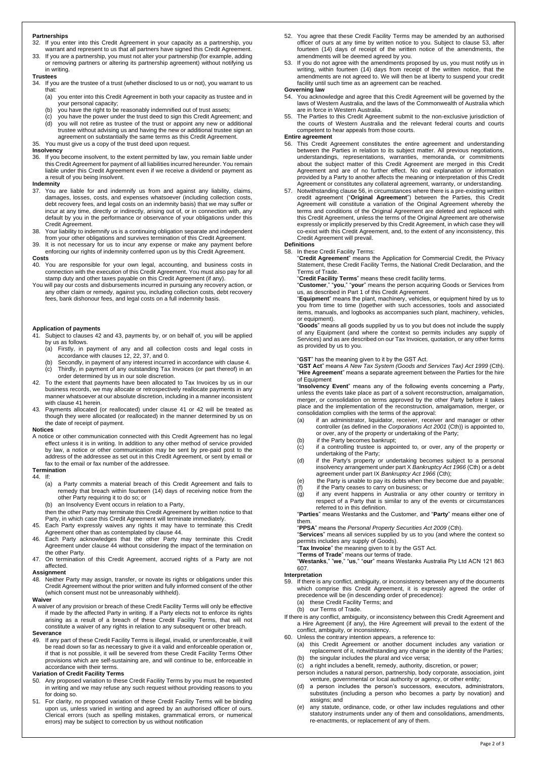#### **Partnerships**

- 32. If you enter into this Credit Agreement in your capacity as a partnership, you warrant and represent to us that all partners have signed this Credit Agreement.
- 33. If you are a partnership, you must not alter your partnership (for example, adding or removing partners or altering its partnership agreement) without notifying us in writing.

#### **Trustees**

- 34. If you are the trustee of a trust (whether disclosed to us or not), you warrant to us that:
	- (a) you enter into this Credit Agreement in both your capacity as trustee and in your personal capacity;
	-
	- (b) you have the right to be reasonably indemnified out of trust assets; (c) you have the power under the trust deed to sign this Credit Agreement; and (d) you will not retire as trustee of the trust or appoint any new or additional trustee without advising us and having the new or additional trustee sign an agreement on substantially the same terms as this Credit Agreement.

35. You must give us a copy of the trust deed upon request.

#### **Insolvency**

36. If you become insolvent, to the extent permitted by law, you remain liable under this Credit Agreement for payment of all liabilities incurred hereunder. You remain liable under this Credit Agreement even if we receive a dividend or payment as a result of you being insolvent.

#### **Indemnity**

- <span id="page-1-2"></span>37. You are liable for and indemnify us from and against any liability, claims, damages, losses, costs, and expenses whatsoever (including collection costs,<br>debt recovery fees, and legal costs on an indemnity basis) that we may suffer or<br>incur at any time, directly or indirectly, arising out of, or in Credit Agreement.
- 38. Your liability to indemnify us is a continuing obligation separate and independent from your other obligations and survives termination of this Credit Agreement.
- 39. It is not necessary for us to incur any expense or make any payment before enforcing our rights of indemnity conferred upon us by this Credit Agreement.

#### **Costs**

- 40. You are responsible for your own legal, accounting, and business costs in connection with the execution of this Credit Agreement. You must also pay for all stamp duty and other taxes payable on this Credit Agreement (if any).
- <span id="page-1-3"></span>You will pay our costs and disbursements incurred in pursuing any recovery action, or any other claim or remedy, against you, including collection costs, debt recovery fees, bank dishonour fees, and legal costs on a full indemnity basis.

# **Application of payments**

- <span id="page-1-4"></span>Subject to clause[s 42](#page-1-0) and [43,](#page-1-1) payments by, or on behalf of, you will be applied by us as follows.
	- (a) Firstly, in payment of any and all collection costs and legal costs in
	- accordance with clause[s 12,](#page-0-3) [22,](#page-0-4) [37,](#page-1-2) an[d 0.](#page-1-3) (b) Secondly, in payment of any interest incurred in accordance with clause [4.](#page-0-5) (c) decentry, in payment of any outstanding Tax Invoices (or part thereof) in an
- <span id="page-1-0"></span>order determined by us in our sole discretion. 42. To the extent that payments have been allocated to Tax Invoices by us in our business records, we may allocate or retrospectively reallocate payments in any manner whatsoever at our absolute discretion, including in a manner inconsistent with claus[e 41](#page-1-4) herein.
- <span id="page-1-1"></span>43. Payments allocated (or reallocated) under clause [41](#page-1-4) or [42](#page-1-0) will be treated as though they were allocated (or reallocated) in the manner determined by us on the date of receipt of payment.

#### **Notices**

A notice or other communication connected with this Credit Agreement has no legal<br>effect unless it is in writing. In addition to any other method of service provided<br>by law, a notice or other communication may be sent by p address of the addressee as set out in this Credit Agreement, or sent by email or fax to the email or fax number of the addressee.

#### **Termination**

<span id="page-1-5"></span>44. If:

- (a) a Party commits a material breach of this Credit Agreement and fails to remedy that breach within fourteen (14) days of receiving notice from the other Party requiring it to do so; or
- (b) an Insolvency Event occurs in relation to a Party,

then the other Party may terminate this Credit Agreement by written notice to that Party, in which case this Credit Agreement will terminate immediately.

- 45. Each Party expressly waives any rights it may have to terminate this Credit
- Agreement other than as contemplated by claus[e 44.](#page-1-5) 46. Each Party acknowledges that the other Party may terminate this Credit Agreement under claus[e 44](#page-1-5) without considering the impact of the termination on
- the other Party. 47. On termination of this Credit Agreement, accrued rights of a Party are not affected.

#### **Assignment**

48. Neither Party may assign, transfer, or novate its rights or obligations under this Credit Agreement without the prior written and fully informed consent of the other (which consent must not be unreasonably withheld).

#### **Waiver**

A waiver of any provision or breach of these Credit Facility Terms will only be effective if made by the affected Party in writing. If a Party elects not to enforce its rights arising as a result of a breach of these Credit Facility Terms, that will not constitute a waiver of any rights in relation to any subsequent or other breach

#### **Severance**

49. If any part of these Credit Facility Terms is illegal, invalid, or unenforceable, it will be read down so far as necessary to give it a valid and enforceable operation or, if that is not possible, it will be severed from these Credit Facility Terms Other provisions which are self-sustaining are, and will continue to be, enforceable in accordance with their terms.

#### **Variation of Credit Facility Terms**

- 50. Any proposed variation to these Credit Facility Terms by you must be requested in writing and we may refuse any such request without providing reasons to you for doing so.
- 51. For clarity, no proposed variation of these Credit Facility Terms will be binding upon us, unless varied in writing and agreed by an authorised officer of ours. Clerical errors (such as spelling mistakes, grammatical errors, or numerical errors) may be subject to correction by us without notification
- 52. You agree that these Credit Facility Terms may be amended by an authorised officer of ours at any time by written notice to you. Subject to clause [53,](#page-1-6) after fourteen (14) days of receipt of the written notice of the amendments, the amendments will be deemed agreed by you.
- <span id="page-1-6"></span>53. If you do not agree with the amendments proposed by us, you must notify us in writing, within fourteen (14) days from receipt of the written notice, that the amendments are not agreed to. We will then be at liberty to suspend your credit facility until such time as an agreement can be reached.

#### **Governing law**

- 54. You acknowledge and agree that this Credit Agreement will be governed by the laws of Western Australia, and the laws of the Commonwealth of Australia which are in force in Western Australia.
- 55. The Parties to this Credit Agreement submit to the non-exclusive jurisdiction of the courts of Western Australia and the relevant federal courts and courts competent to hear appeals from those courts.

#### **Entire agreement**

- <span id="page-1-7"></span>56. This Credit Agreement constitutes the entire agreement and understanding between the Parties in relation to its subject matter. All previous negotiations,<br>understandings, representations, warranties, memoranda, or commitments<br>about the subject matter of this Credit Agreement are merged in this Agreement and are of no further effect. No oral explanation or information<br>provided by a Party to another affects the meaning or interpretation of this Credit<br>Agreement or constitutes any collateral agreement, warranty, or
- 57. Notwithstanding claus[e 56,](#page-1-7) in circumstances where there is a pre-existing written credit agreement ("Original Agreement") between the Parties, this Credit Agreement will constitute a variation of the Original Agreement expressly or implicitly preserved by this Credit Agreement, in which case they will co-exist with this Credit Agreement, and, to the extent of any inconsistency, this Credit Agreement will prevail.

### **Definitions**

58. In these Credit Facility Terms: "**Credit Agreement**" means the Application for Commercial Credit, the Privacy Statement, these Credit Facility Terms, the National Credit Declaration, and the Terms of Trade.

#### "**Credit Facility Terms**" means these credit facility terms.

"**Customer**," "**you**," "**your**" means the person acquiring Goods or Services from us, as described in Part 1 of this Credit Agreement.

"**Equipment**" means the plant, machinery, vehicles, or equipment hired by us to you from time to time (together with such accessories, tools and associated items, manuals, and logbooks as accompanies such plant, machinery, vehicles, or equipment).

"**Goods**" means all goods supplied by us to you but does not include the supply of any Equipment (and where the context so permits includes any supply of Services) and as are described on our Tax Invoices, quotation, or any other forms as provided by us to you.

#### "**GST**" has the meaning given to it by the GST Act.

"**GST Act**" means *A New Tax System (Goods and Services Tax) Act 1999* (Cth). "**Hire Agreement**" means a separate agreement between the Parties for the hire of Equipment

"**Insolvency Event**" means any of the following events concerning a Party, unless the events take place as part of a solvent reconstruction, amalgamation, merger, or consolidation on terms approved by the other Party before it takes place and the implementation of the reconstruction, amalgamation, merger, or consolidation complies with the terms of the approval: (a) if an administrator, liquidator, receiver, receiver and manager or other

- controller (as defined in the *Corporations Act 2001* (Cth)) is appointed to, or over, any of the property or undertaking of the Party; (b) if the Party becomes bankrupt;
- (c) if a controlling trustee is appointed to, or over, any of the property or undertaking of the Party;
- (d) if the Party's property or undertaking becomes subject to a personal insolvency arrangement under part X *Bankruptcy Act 1966* (Cth) or a debt<br>agreement under part IX *Bankruptcy Act 1966* (Cth);<br>(e) the Party is unable to pay its debts when they become due and payable;
- 
- (f) if the Party ceases to carry on business; or (g) if any event happens in Australia or any other country or territory in respect of a Party that is similar to any of the events or circumstances

referred to in this definition. "**Parties**" means Westanks and the Customer, and "**Party**" means either one of them.

"**PPSA**" means the *Personal Property Securities Act 2009* (Cth). "**Services**" means all services supplied by us to you (and where the context so

permits includes any supply of Goods).

"**Tax Invoice**" the meaning given to it by the GST Act. "**Terms of Trade**" means our terms of trade. "**Westanks**," "**we**," "**us**," "**our**" means Westanks Australia Pty Ltd ACN 121 863 607.

- **Interpretation**  If there is any conflict, ambiguity, or inconsistency between any of the documents which comprise this Credit Agreement, it is expressly agreed the order of precedence will be (in descending order of precedence):
	- (a) these Credit Facility Terms; and
	- (b) our Terms of Trade.
- If there is any conflict, ambiguity, or inconsistency between this Credit Agreement and a Hire Agreement (if any), the Hire Agreement will prevail to the extent of the conflict, ambiguity, or inconsistency.
- 60. Unless the contrary intention appears, a reference to:
	- (a) this Credit Agreement or another document includes any variation or replacement of it, notwithstanding any change in the identity of the Parties;
	- (b) the singular includes the plural and vice versa;
	- (c) a right includes a benefit, remedy, authority, discretion, or power;
	- person includes a natural person, partnership, body corporate, association, joint venture, governmental or local authority or agency, or other entity;
	- (d) a person includes the person's successors, executors, administrators, substitutes (including a person who becomes a party by novation) and assigns; and
	- (e) any statute, ordinance, code, or other law includes regulations and other statutory instruments under any of them and consolidations, amendments, re-enactments, or replacement of any of them.